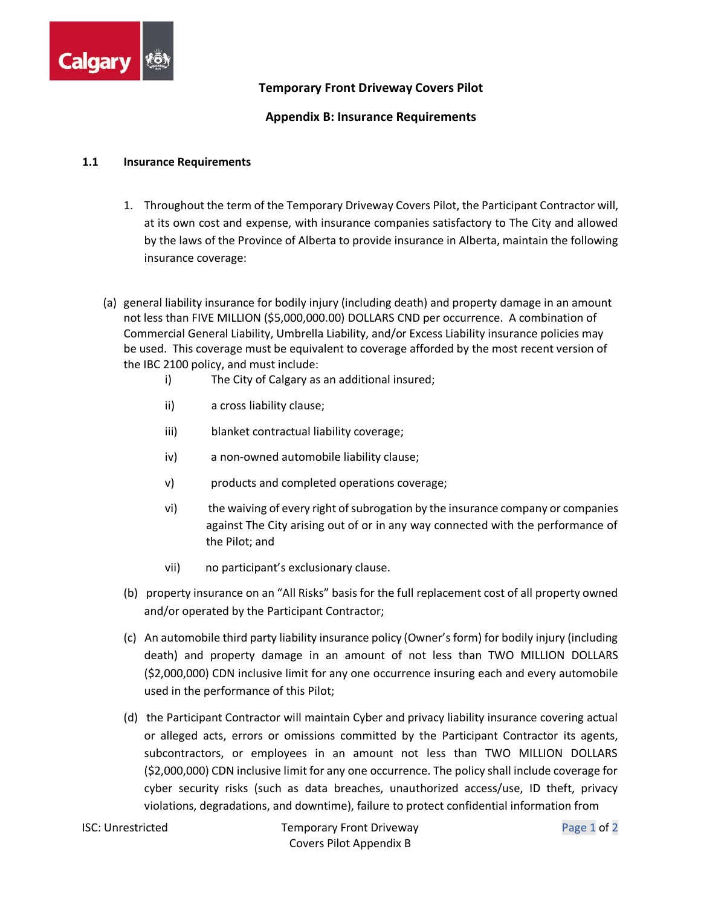

## **Temporary Front Driveway Covers Pilot**

## **Appendix B: Insurance Requirements**

## **1.1 Insurance Requirements**

- 1. Throughout the term of the Temporary Driveway Covers Pilot, the Participant Contractor will, at its own cost and expense, with insurance companies satisfactory to The City and allowed by the laws of the Province of Alberta to provide insurance in Alberta, maintain the following insurance coverage:
- (a) general liability insurance for bodily injury (including death) and property damage in an amount not less than FIVE MILLION (\$5,000,000.00) DOLLARS CND per occurrence. A combination of Commercial General Liability, Umbrella Liability, and/or Excess Liability insurance policies may be used. This coverage must be equivalent to coverage afforded by the most recent version of the IBC 2100 policy, and must include:
	- i) The City of Calgary as an additional insured;
	- ii) a cross liability clause;
	- iii) blanket contractual liability coverage;
	- iv) a non-owned automobile liability clause;
	- v) products and completed operations coverage;
	- vi) the waiving of every right of subrogation by the insurance company or companies against The City arising out of or in any way connected with the performance of the Pilot; and
	- vii) no participant's exclusionary clause.
	- (b) property insurance on an "All Risks" basis for the full replacement cost of all property owned and/or operated by the Participant Contractor;
	- (c) An automobile third party liability insurance policy (Owner's form) for bodily injury (including death) and property damage in an amount of not less than TWO MILLION DOLLARS (\$2,000,000) CDN inclusive limit for any one occurrence insuring each and every automobile used in the performance of this Pilot;
	- (d) the Participant Contractor will maintain Cyber and privacy liability insurance covering actual or alleged acts, errors or omissions committed by the Participant Contractor its agents, subcontractors, or employees in an amount not less than TWO MILLION DOLLARS (\$2,000,000) CDN inclusive limit for any one occurrence. The policy shall include coverage for cyber security risks (such as data breaches, unauthorized access/use, ID theft, privacy violations, degradations, and downtime), failure to protect confidential information from